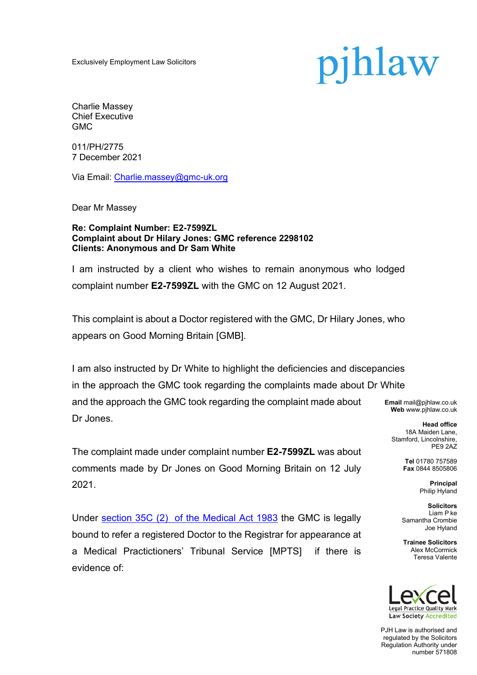Exclusively Employment Law Solicitors

# pjhlaw

Charlie Massey Chief Executive GMC

011/PH/2775 7 December 2021

Via Email: Charlie.massey@gmc-uk.org

Dear Mr Massey

#### **Re: Complaint Number: E2-7599ZL Complaint about Dr Hilary Jones: GMC reference 2298102 Clients: Anonymous and Dr Sam White**

I am instructed by a client who wishes to remain anonymous who lodged complaint number **E2-7599ZL** with the GMC on 12 August 2021.

This complaint is about a Doctor registered with the GMC, Dr Hilary Jones, who appears on Good Morning Britain [GMB].

I am also instructed by Dr White to highlight the deficiencies and discepancies in the approach the GMC took regarding the complaints made about Dr White and the approach the GMC took regarding the complaint made about Dr Jones.

The complaint made under complaint number **E2-7599ZL** was about comments made by Dr Jones on Good Morning Britain on 12 July 2021.

Under section 35C (2) of the Medical Act 1983 the GMC is legally bound to refer a registered Doctor to the Registrar for appearance at a Medical Practictioners' Tribunal Service [MPTS] if there is evidence of:

**Email** mail@pjhlaw.co.uk **Web** www.pjhlaw.co.uk

**Head office** 18A Maiden Lane, Stamford, Lincolnshire, PE9 2AZ

> **Tel** 01780 757589 **Fax** 0844 8505806

> > **Principal** Philip Hyland

**Solicitors** Liam P ke Samantha Crombie Joe Hyland

**Trainee Solicitors**  Alex McCormick Teresa Valente



PJH Law is authorised and regulated by the Solicitors Regulation Authority under number 571808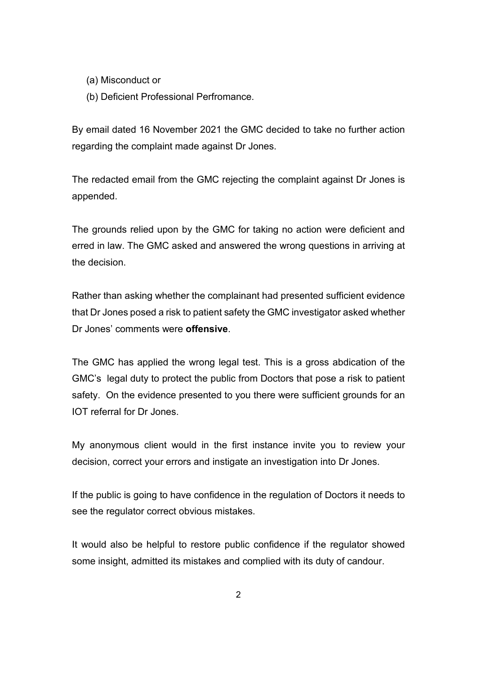(a) Misconduct or

(b) Deficient Professional Perfromance.

By email dated 16 November 2021 the GMC decided to take no further action regarding the complaint made against Dr Jones.

The redacted email from the GMC rejecting the complaint against Dr Jones is appended.

The grounds relied upon by the GMC for taking no action were deficient and erred in law. The GMC asked and answered the wrong questions in arriving at the decision.

Rather than asking whether the complainant had presented sufficient evidence that Dr Jones posed a risk to patient safety the GMC investigator asked whether Dr Jones' comments were **offensive**.

The GMC has applied the wrong legal test. This is a gross abdication of the GMC's legal duty to protect the public from Doctors that pose a risk to patient safety. On the evidence presented to you there were sufficient grounds for an IOT referral for Dr Jones.

My anonymous client would in the first instance invite you to review your decision, correct your errors and instigate an investigation into Dr Jones.

If the public is going to have confidence in the regulation of Doctors it needs to see the regulator correct obvious mistakes.

It would also be helpful to restore public confidence if the regulator showed some insight, admitted its mistakes and complied with its duty of candour.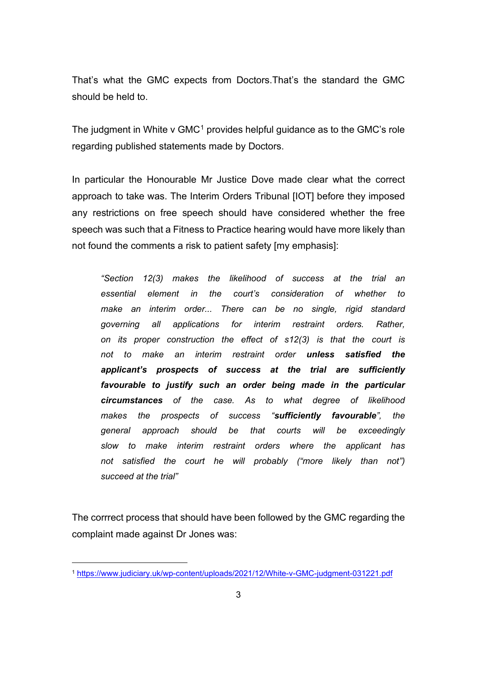That's what the GMC expects from Doctors.That's the standard the GMC should be held to.

The judgment in White v  $GMC<sup>1</sup>$  provides helpful guidance as to the GMC's role regarding published statements made by Doctors.

In particular the Honourable Mr Justice Dove made clear what the correct approach to take was. The Interim Orders Tribunal [IOT] before they imposed any restrictions on free speech should have considered whether the free speech was such that a Fitness to Practice hearing would have more likely than not found the comments a risk to patient safety [my emphasis]:

*"Section 12(3) makes the likelihood of success at the trial an essential element in the court's consideration of whether to make an interim order... There can be no single, rigid standard governing all applications for interim restraint orders. Rather, on its proper construction the effect of s12(3) is that the court is not to make an interim restraint order unless satisfied the applicant's prospects of success at the trial are sufficiently favourable to justify such an order being made in the particular circumstances of the case. As to what degree of likelihood makes the prospects of success "sufficiently favourable", the general approach should be that courts will be exceedingly slow to make interim restraint orders where the applicant has not satisfied the court he will probably ("more likely than not") succeed at the trial"*

The corrrect process that should have been followed by the GMC regarding the complaint made against Dr Jones was:

<sup>1</sup> https://www.judiciary.uk/wp-content/uploads/2021/12/White-v-GMC-judgment-031221.pdf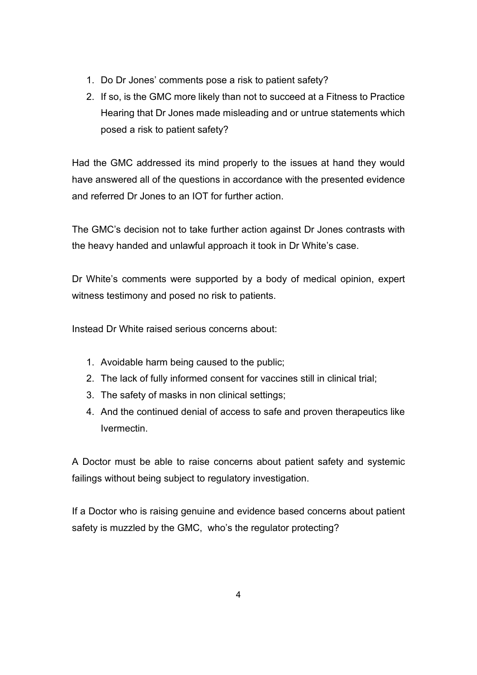- 1. Do Dr Jones' comments pose a risk to patient safety?
- 2. If so, is the GMC more likely than not to succeed at a Fitness to Practice Hearing that Dr Jones made misleading and or untrue statements which posed a risk to patient safety?

Had the GMC addressed its mind properly to the issues at hand they would have answered all of the questions in accordance with the presented evidence and referred Dr Jones to an IOT for further action.

The GMC's decision not to take further action against Dr Jones contrasts with the heavy handed and unlawful approach it took in Dr White's case.

Dr White's comments were supported by a body of medical opinion, expert witness testimony and posed no risk to patients.

Instead Dr White raised serious concerns about:

- 1. Avoidable harm being caused to the public;
- 2. The lack of fully informed consent for vaccines still in clinical trial;
- 3. The safety of masks in non clinical settings;
- 4. And the continued denial of access to safe and proven therapeutics like Ivermectin.

A Doctor must be able to raise concerns about patient safety and systemic failings without being subject to regulatory investigation.

If a Doctor who is raising genuine and evidence based concerns about patient safety is muzzled by the GMC, who's the regulator protecting?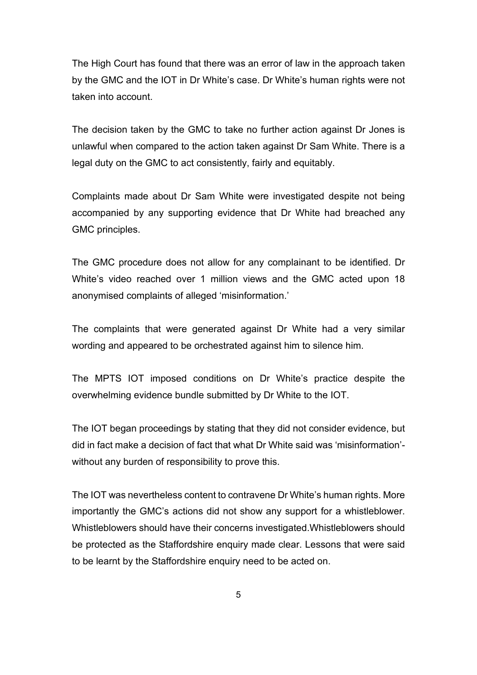The High Court has found that there was an error of law in the approach taken by the GMC and the IOT in Dr White's case. Dr White's human rights were not taken into account.

The decision taken by the GMC to take no further action against Dr Jones is unlawful when compared to the action taken against Dr Sam White. There is a legal duty on the GMC to act consistently, fairly and equitably.

Complaints made about Dr Sam White were investigated despite not being accompanied by any supporting evidence that Dr White had breached any GMC principles.

The GMC procedure does not allow for any complainant to be identified. Dr White's video reached over 1 million views and the GMC acted upon 18 anonymised complaints of alleged 'misinformation.'

The complaints that were generated against Dr White had a very similar wording and appeared to be orchestrated against him to silence him.

The MPTS IOT imposed conditions on Dr White's practice despite the overwhelming evidence bundle submitted by Dr White to the IOT.

The IOT began proceedings by stating that they did not consider evidence, but did in fact make a decision of fact that what Dr White said was 'misinformation' without any burden of responsibility to prove this.

The IOT was nevertheless content to contravene Dr White's human rights. More importantly the GMC's actions did not show any support for a whistleblower. Whistleblowers should have their concerns investigated.Whistleblowers should be protected as the Staffordshire enquiry made clear. Lessons that were said to be learnt by the Staffordshire enquiry need to be acted on.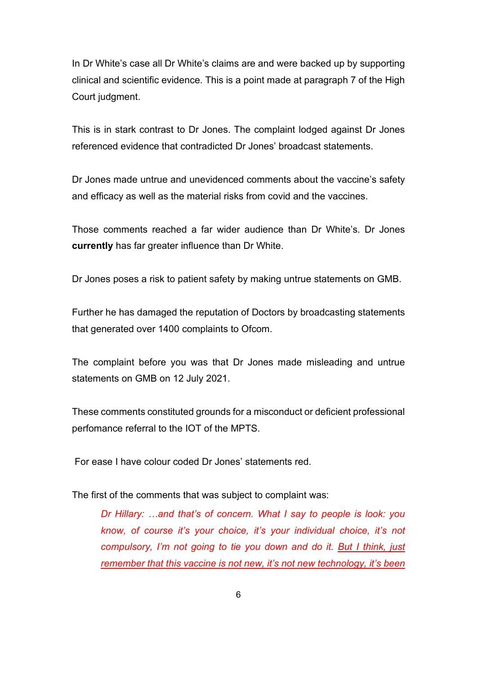In Dr White's case all Dr White's claims are and were backed up by supporting clinical and scientific evidence. This is a point made at paragraph 7 of the High Court judgment.

This is in stark contrast to Dr Jones. The complaint lodged against Dr Jones referenced evidence that contradicted Dr Jones' broadcast statements.

Dr Jones made untrue and unevidenced comments about the vaccine's safety and efficacy as well as the material risks from covid and the vaccines.

Those comments reached a far wider audience than Dr White's. Dr Jones **currently** has far greater influence than Dr White.

Dr Jones poses a risk to patient safety by making untrue statements on GMB.

Further he has damaged the reputation of Doctors by broadcasting statements that generated over 1400 complaints to Ofcom.

The complaint before you was that Dr Jones made misleading and untrue statements on GMB on 12 July 2021.

These comments constituted grounds for a misconduct or deficient professional perfomance referral to the IOT of the MPTS.

For ease I have colour coded Dr Jones' statements red.

The first of the comments that was subject to complaint was:

*Dr Hillary: …and that's of concern. What I say to people is look: you know, of course it's your choice, it's your individual choice, it's not compulsory, I'm not going to tie you down and do it. But I think, just remember that this vaccine is not new, it's not new technology, it's been*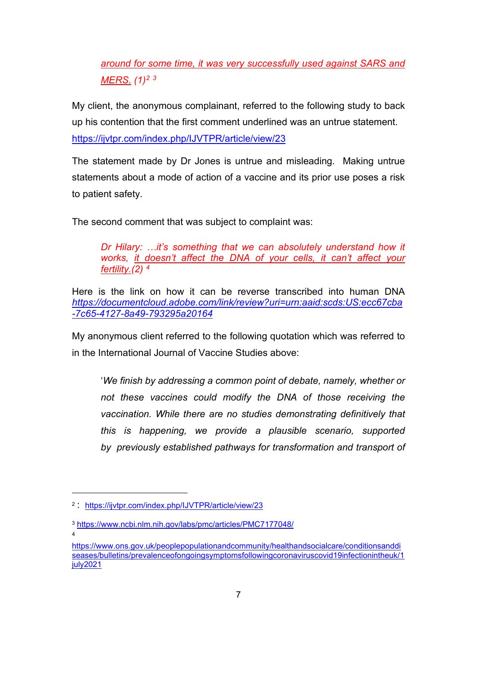*around for some time, it was very successfully used against SARS and MERS. (1)2 <sup>3</sup>*

My client, the anonymous complainant, referred to the following study to back up his contention that the first comment underlined was an untrue statement. https://ijvtpr.com/index.php/IJVTPR/article/view/23

The statement made by Dr Jones is untrue and misleading. Making untrue statements about a mode of action of a vaccine and its prior use poses a risk to patient safety.

The second comment that was subject to complaint was:

*Dr Hilary: …it's something that we can absolutely understand how it works, it doesn't affect the DNA of your cells, it can't affect your fertility.(2) 4*

Here is the link on how it can be reverse transcribed into human DNA *https://documentcloud.adobe.com/link/review?uri=urn:aaid:scds:US:ecc67cba -7c65-4127-8a49-793295a20164*

My anonymous client referred to the following quotation which was referred to in the International Journal of Vaccine Studies above:

'*We finish by addressing a common point of debate, namely, whether or not these vaccines could modify the DNA of those receiving the vaccination. While there are no studies demonstrating definitively that this is happening, we provide a plausible scenario, supported by previously established pathways for transformation and transport of* 

<sup>2</sup> : https://ijvtpr.com/index.php/IJVTPR/article/view/23

<sup>3</sup> https://www.ncbi.nlm.nih.gov/labs/pmc/articles/PMC7177048/ 4

https://www.ons.gov.uk/peoplepopulationandcommunity/healthandsocialcare/conditionsanddi seases/bulletins/prevalenceofongoingsymptomsfollowingcoronaviruscovid19infectionintheuk/1 july2021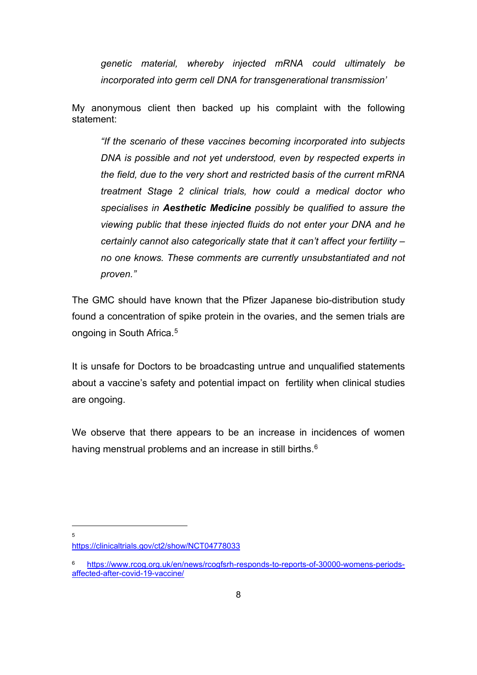*genetic material, whereby injected mRNA could ultimately be incorporated into germ cell DNA for transgenerational transmission'*

My anonymous client then backed up his complaint with the following statement:

*"If the scenario of these vaccines becoming incorporated into subjects DNA is possible and not yet understood, even by respected experts in the field, due to the very short and restricted basis of the current mRNA treatment Stage 2 clinical trials, how could a medical doctor who specialises in Aesthetic Medicine possibly be qualified to assure the viewing public that these injected fluids do not enter your DNA and he certainly cannot also categorically state that it can't affect your fertility – no one knows. These comments are currently unsubstantiated and not proven."*

The GMC should have known that the Pfizer Japanese bio-distribution study found a concentration of spike protein in the ovaries, and the semen trials are ongoing in South Africa.5

It is unsafe for Doctors to be broadcasting untrue and unqualified statements about a vaccine's safety and potential impact on fertility when clinical studies are ongoing.

We observe that there appears to be an increase in incidences of women having menstrual problems and an increase in still births.<sup>6</sup>

5

https://clinicaltrials.gov/ct2/show/NCT04778033

<sup>6</sup> https://www.rcog.org.uk/en/news/rcogfsrh-responds-to-reports-of-30000-womens-periodsaffected-after-covid-19-vaccine/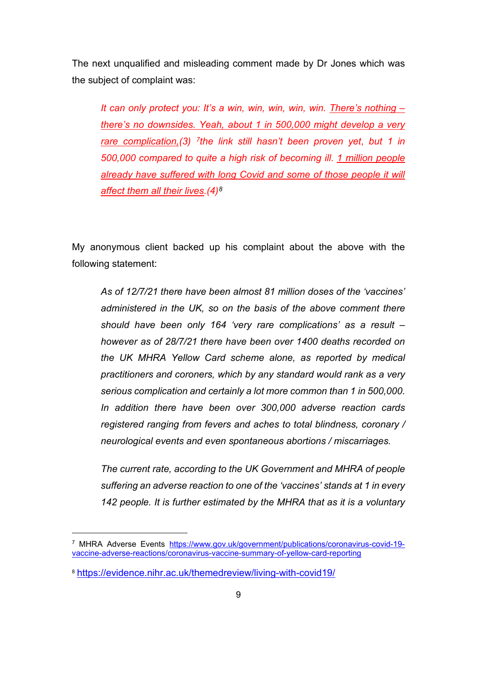The next unqualified and misleading comment made by Dr Jones which was the subject of complaint was:

*It can only protect you: It's a win, win, win, win, win. There's nothing – there's no downsides. Yeah, about 1 in 500,000 might develop a very rare complication,(3) 7the link still hasn't been proven yet*, *but 1 in 500,000 compared to quite a high risk of becoming ill*. *1 million people already have suffered with long Covid and some of those people it will affect them all their lives.(4)8*

My anonymous client backed up his complaint about the above with the following statement:

*As of 12/7/21 there have been almost 81 million doses of the 'vaccines' administered in the UK, so on the basis of the above comment there should have been only 164 'very rare complications' as a result – however as of 28/7/21 there have been over 1400 deaths recorded on the UK MHRA Yellow Card scheme alone, as reported by medical practitioners and coroners, which by any standard would rank as a very serious complication and certainly a lot more common than 1 in 500,000. In addition there have been over 300,000 adverse reaction cards registered ranging from fevers and aches to total blindness, coronary / neurological events and even spontaneous abortions / miscarriages.* 

*The current rate, according to the UK Government and MHRA of people suffering an adverse reaction to one of the 'vaccines' stands at 1 in every 142 people. It is further estimated by the MHRA that as it is a voluntary* 

<sup>7</sup> MHRA Adverse Events https://www.gov.uk/government/publications/coronavirus-covid-19 vaccine-adverse-reactions/coronavirus-vaccine-summary-of-yellow-card-reporting

<sup>8</sup> https://evidence.nihr.ac.uk/themedreview/living-with-covid19/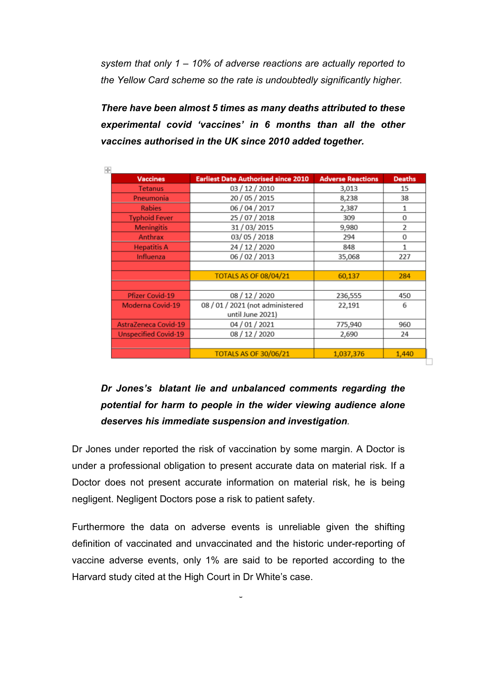*system that only 1 – 10% of adverse reactions are actually reported to the Yellow Card scheme so the rate is undoubtedly significantly higher.*

*There have been almost 5 times as many deaths attributed to these experimental covid 'vaccines' in 6 months than all the other vaccines authorised in the UK since 2010 added together.*

| <b>Vaccines</b>             | <b>Earliest Date Authorised since 2010</b> | <b>Adverse Reactions</b> | <b>Deaths</b>  |
|-----------------------------|--------------------------------------------|--------------------------|----------------|
| <b>Tetanus</b>              | 03 / 12 / 2010                             | 3,013                    | 15             |
| Pneumonia                   | 20 / 05 / 2015                             | 8,238                    | 38             |
| <b>Rabies</b>               | 06 / 04 / 2017                             | 2,387                    | 1              |
| <b>Typhoid Fever</b>        | 25 / 07 / 2018                             | 309                      | 0              |
| <b>Meningitis</b>           | 31 / 03 / 2015                             | 9,980                    | $\overline{2}$ |
| Anthrax                     | 03/05/2018                                 | 294                      | 0              |
| <b>Hepatitis A</b>          | 24 / 12 / 2020                             | 848                      | 1              |
| Influenza                   | 06/02/2013                                 | 35,068                   | 227            |
|                             |                                            |                          |                |
|                             | <b>TOTALS AS OF 08/04/21</b>               | 60,137                   | 284            |
|                             |                                            |                          |                |
| <b>Pfizer Covid-19</b>      | 08 / 12 / 2020                             | 236,555                  | 450            |
| <b>Moderna Covid-19</b>     | 08 / 01 / 2021 (not administered           | 22,191                   | 6              |
|                             | until June 2021)                           |                          |                |
| <b>AstraZeneca Covid-19</b> | 04 / 01 / 2021                             | 775,940                  | 960            |
| <b>Unspecified Covid-19</b> | 08 / 12 / 2020                             | 2,690                    | 24             |
|                             |                                            |                          |                |
|                             | <b>TOTALS AS OF 30/06/21</b>               | 1,037,376                | 1,440          |

□

# *Dr Jones's blatant lie and unbalanced comments regarding the potential for harm to people in the wider viewing audience alone deserves his immediate suspension and investigation.*

Dr Jones under reported the risk of vaccination by some margin. A Doctor is under a professional obligation to present accurate data on material risk. If a Doctor does not present accurate information on material risk, he is being negligent. Negligent Doctors pose a risk to patient safety.

Furthermore the data on adverse events is unreliable given the shifting definition of vaccinated and unvaccinated and the historic under-reporting of vaccine adverse events, only 1% are said to be reported according to the Harvard study cited at the High Court in Dr White's case.

 $\ddot{\phantom{0}}$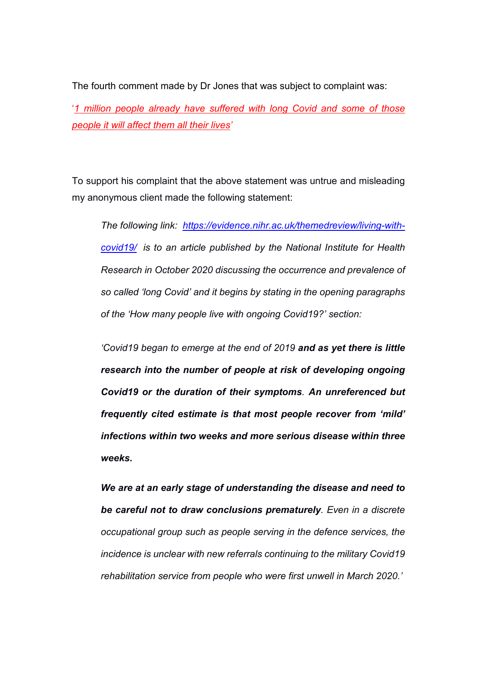The fourth comment made by Dr Jones that was subject to complaint was:

'*1 million people already have suffered with long Covid and some of those people it will affect them all their lives'*

To support his complaint that the above statement was untrue and misleading my anonymous client made the following statement:

*The following link: https://evidence.nihr.ac.uk/themedreview/living-withcovid19/ is to an article published by the National Institute for Health Research in October 2020 discussing the occurrence and prevalence of so called 'long Covid' and it begins by stating in the opening paragraphs of the 'How many people live with ongoing Covid19?' section:*

*'Covid19 began to emerge at the end of 2019 and as yet there is little research into the number of people at risk of developing ongoing Covid19 or the duration of their symptoms. An unreferenced but frequently cited estimate is that most people recover from 'mild' infections within two weeks and more serious disease within three weeks.*

*We are at an early stage of understanding the disease and need to be careful not to draw conclusions prematurely. Even in a discrete occupational group such as people serving in the defence services, the incidence is unclear with new referrals continuing to the military Covid19 rehabilitation service from people who were first unwell in March 2020.'*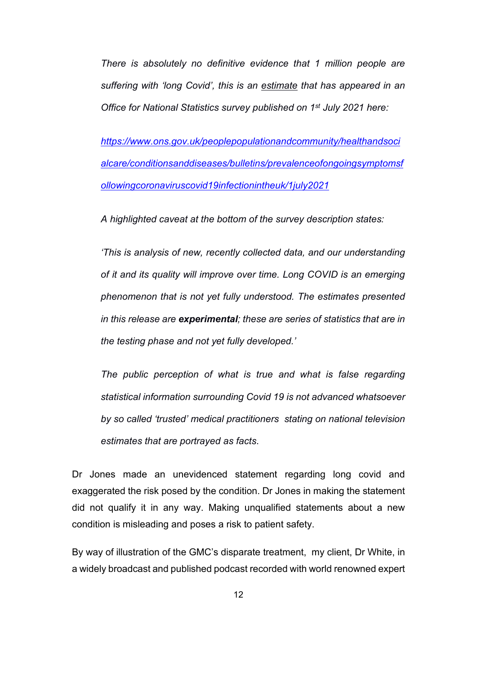*There is absolutely no definitive evidence that 1 million people are suffering with 'long Covid', this is an estimate that has appeared in an Office for National Statistics survey published on 1st July 2021 here:* 

*https://www.ons.gov.uk/peoplepopulationandcommunity/healthandsoci alcare/conditionsanddiseases/bulletins/prevalenceofongoingsymptomsf ollowingcoronaviruscovid19infectionintheuk/1july2021* 

*A highlighted caveat at the bottom of the survey description states:* 

*'This is analysis of new, recently collected data, and our understanding of it and its quality will improve over time. Long COVID is an emerging phenomenon that is not yet fully understood. The estimates presented in this release are experimental; these are series of statistics that are in the testing phase and not yet fully developed.'*

*The public perception of what is true and what is false regarding statistical information surrounding Covid 19 is not advanced whatsoever by so called 'trusted' medical practitioners stating on national television estimates that are portrayed as facts*.

Dr Jones made an unevidenced statement regarding long covid and exaggerated the risk posed by the condition. Dr Jones in making the statement did not qualify it in any way. Making unqualified statements about a new condition is misleading and poses a risk to patient safety.

By way of illustration of the GMC's disparate treatment, my client, Dr White, in a widely broadcast and published podcast recorded with world renowned expert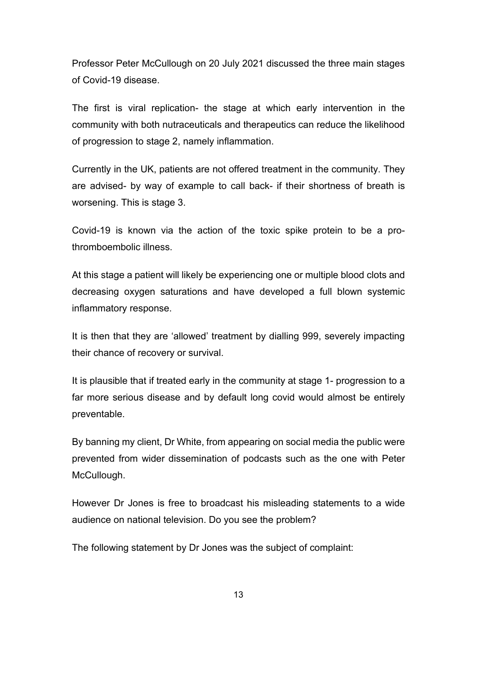Professor Peter McCullough on 20 July 2021 discussed the three main stages of Covid-19 disease.

The first is viral replication- the stage at which early intervention in the community with both nutraceuticals and therapeutics can reduce the likelihood of progression to stage 2, namely inflammation.

Currently in the UK, patients are not offered treatment in the community. They are advised- by way of example to call back- if their shortness of breath is worsening. This is stage 3.

Covid-19 is known via the action of the toxic spike protein to be a prothromboembolic illness.

At this stage a patient will likely be experiencing one or multiple blood clots and decreasing oxygen saturations and have developed a full blown systemic inflammatory response.

It is then that they are 'allowed' treatment by dialling 999, severely impacting their chance of recovery or survival.

It is plausible that if treated early in the community at stage 1- progression to a far more serious disease and by default long covid would almost be entirely preventable.

By banning my client, Dr White, from appearing on social media the public were prevented from wider dissemination of podcasts such as the one with Peter McCullough.

However Dr Jones is free to broadcast his misleading statements to a wide audience on national television. Do you see the problem?

The following statement by Dr Jones was the subject of complaint: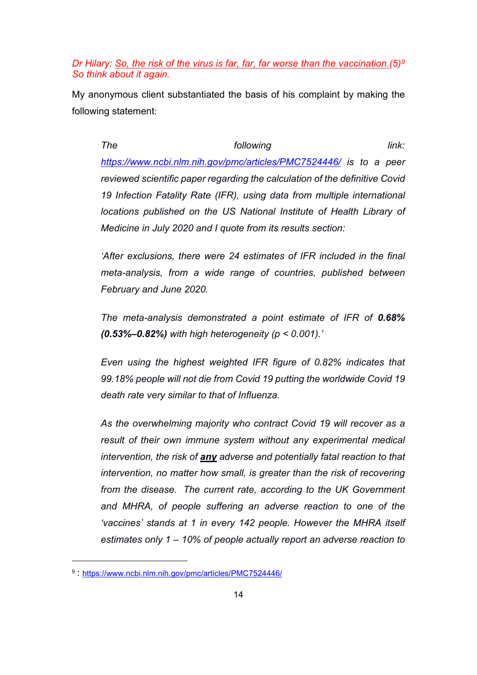#### *Dr Hilary: So, the risk of the virus is far, far, far worse than the vaccination.(5)9 So think about it again.*

My anonymous client substantiated the basis of his complaint by making the following statement:

*The following link: https://www.ncbi.nlm.nih.gov/pmc/articles/PMC7524446/ is to a peer reviewed scientific paper regarding the calculation of the definitive Covid 19 Infection Fatality Rate (IFR), using data from multiple international locations published on the US National Institute of Health Library of Medicine in July 2020 and I quote from its results section:*

*'After exclusions, there were 24 estimates of IFR included in the final meta-analysis, from a wide range of countries, published between February and June 2020.*

*The meta-analysis demonstrated a point estimate of IFR of 0.68% (0.53%–0.82%) with high heterogeneity (p < 0.001).'*

*Even using the highest weighted IFR figure of 0.82% indicates that 99.18% people will not die from Covid 19 putting the worldwide Covid 19 death rate very similar to that of Influenza.* 

*As the overwhelming majority who contract Covid 19 will recover as a result of their own immune system without any experimental medical intervention, the risk of any adverse and potentially fatal reaction to that intervention, no matter how small, is greater than the risk of recovering from the disease. The current rate, according to the UK Government and MHRA, of people suffering an adverse reaction to one of the 'vaccines' stands at 1 in every 142 people. However the MHRA itself estimates only 1 – 10% of people actually report an adverse reaction to* 

<sup>9</sup> : https://www.ncbi.nlm.nih.gov/pmc/articles/PMC7524446/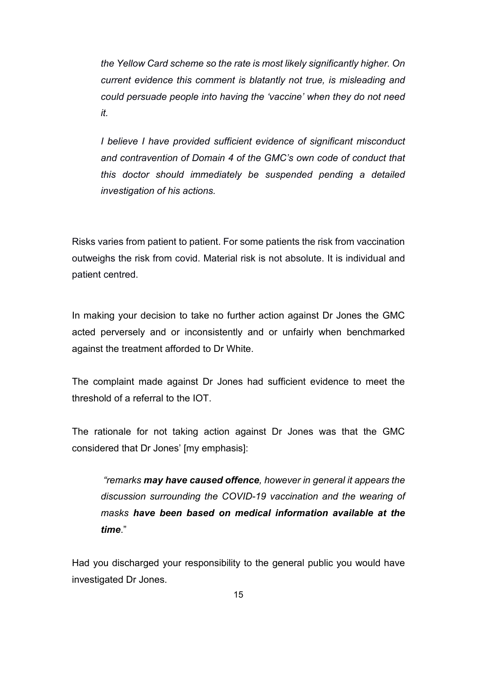*the Yellow Card scheme so the rate is most likely significantly higher. On current evidence this comment is blatantly not true, is misleading and could persuade people into having the 'vaccine' when they do not need it.*

*I believe I have provided sufficient evidence of significant misconduct and contravention of Domain 4 of the GMC's own code of conduct that this doctor should immediately be suspended pending a detailed investigation of his actions.* 

Risks varies from patient to patient. For some patients the risk from vaccination outweighs the risk from covid. Material risk is not absolute. It is individual and patient centred.

In making your decision to take no further action against Dr Jones the GMC acted perversely and or inconsistently and or unfairly when benchmarked against the treatment afforded to Dr White.

The complaint made against Dr Jones had sufficient evidence to meet the threshold of a referral to the IOT.

The rationale for not taking action against Dr Jones was that the GMC considered that Dr Jones' [my emphasis]:

*"remarks may have caused offence, however in general it appears the discussion surrounding the COVID-19 vaccination and the wearing of masks have been based on medical information available at the time*."

Had you discharged your responsibility to the general public you would have investigated Dr Jones.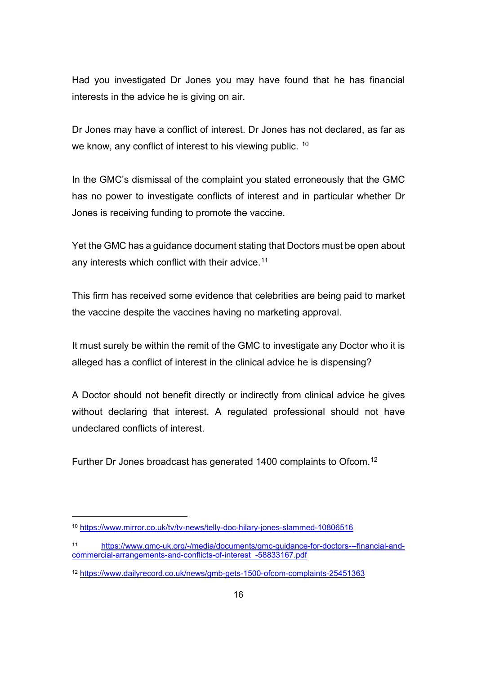Had you investigated Dr Jones you may have found that he has financial interests in the advice he is giving on air.

Dr Jones may have a conflict of interest. Dr Jones has not declared, as far as we know, any conflict of interest to his viewing public. <sup>10</sup>

In the GMC's dismissal of the complaint you stated erroneously that the GMC has no power to investigate conflicts of interest and in particular whether Dr Jones is receiving funding to promote the vaccine.

Yet the GMC has a guidance document stating that Doctors must be open about any interests which conflict with their advice.<sup>11</sup>

This firm has received some evidence that celebrities are being paid to market the vaccine despite the vaccines having no marketing approval.

It must surely be within the remit of the GMC to investigate any Doctor who it is alleged has a conflict of interest in the clinical advice he is dispensing?

A Doctor should not benefit directly or indirectly from clinical advice he gives without declaring that interest. A regulated professional should not have undeclared conflicts of interest.

Further Dr Jones broadcast has generated 1400 complaints to Ofcom.<sup>12</sup>

<sup>10</sup> https://www.mirror.co.uk/tv/tv-news/telly-doc-hilary-jones-slammed-10806516

<sup>11</sup> https://www.gmc-uk.org/-/media/documents/gmc-guidance-for-doctors---financial-andcommercial-arrangements-and-conflicts-of-interest -58833167.pdf

<sup>12</sup> https://www.dailyrecord.co.uk/news/gmb-gets-1500-ofcom-complaints-25451363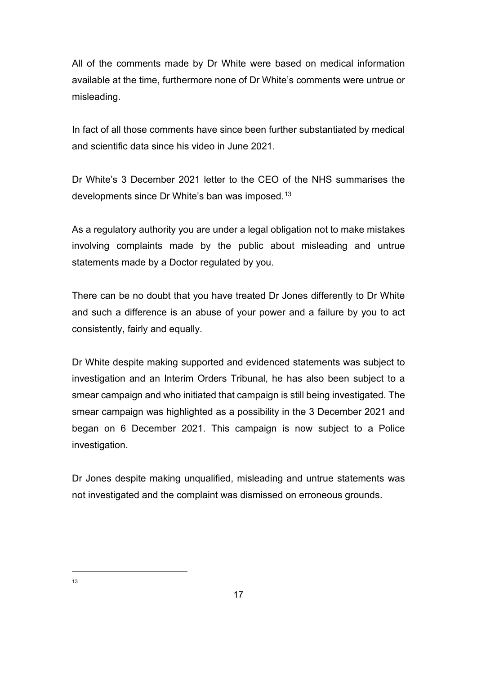All of the comments made by Dr White were based on medical information available at the time, furthermore none of Dr White's comments were untrue or misleading.

In fact of all those comments have since been further substantiated by medical and scientific data since his video in June 2021.

Dr White's 3 December 2021 letter to the CEO of the NHS summarises the developments since Dr White's ban was imposed.13

As a regulatory authority you are under a legal obligation not to make mistakes involving complaints made by the public about misleading and untrue statements made by a Doctor regulated by you.

There can be no doubt that you have treated Dr Jones differently to Dr White and such a difference is an abuse of your power and a failure by you to act consistently, fairly and equally.

Dr White despite making supported and evidenced statements was subject to investigation and an Interim Orders Tribunal, he has also been subject to a smear campaign and who initiated that campaign is still being investigated. The smear campaign was highlighted as a possibility in the 3 December 2021 and began on 6 December 2021. This campaign is now subject to a Police investigation.

Dr Jones despite making unqualified, misleading and untrue statements was not investigated and the complaint was dismissed on erroneous grounds.

13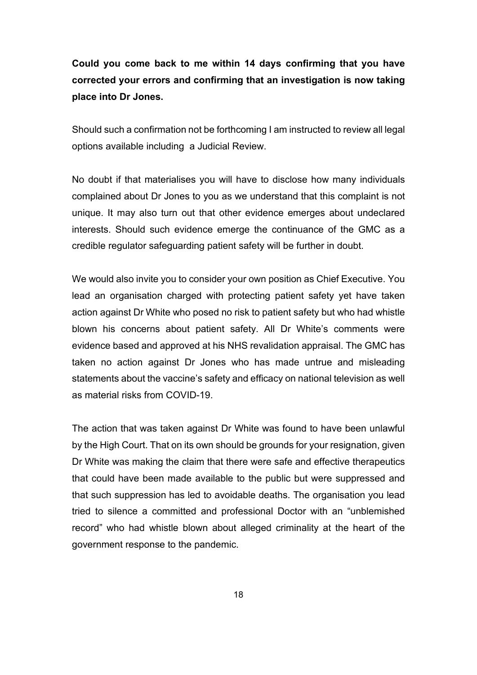# **Could you come back to me within 14 days confirming that you have corrected your errors and confirming that an investigation is now taking place into Dr Jones.**

Should such a confirmation not be forthcoming I am instructed to review all legal options available including a Judicial Review.

No doubt if that materialises you will have to disclose how many individuals complained about Dr Jones to you as we understand that this complaint is not unique. It may also turn out that other evidence emerges about undeclared interests. Should such evidence emerge the continuance of the GMC as a credible regulator safeguarding patient safety will be further in doubt.

We would also invite you to consider your own position as Chief Executive. You lead an organisation charged with protecting patient safety yet have taken action against Dr White who posed no risk to patient safety but who had whistle blown his concerns about patient safety. All Dr White's comments were evidence based and approved at his NHS revalidation appraisal. The GMC has taken no action against Dr Jones who has made untrue and misleading statements about the vaccine's safety and efficacy on national television as well as material risks from COVID-19.

The action that was taken against Dr White was found to have been unlawful by the High Court. That on its own should be grounds for your resignation, given Dr White was making the claim that there were safe and effective therapeutics that could have been made available to the public but were suppressed and that such suppression has led to avoidable deaths. The organisation you lead tried to silence a committed and professional Doctor with an "unblemished record" who had whistle blown about alleged criminality at the heart of the government response to the pandemic.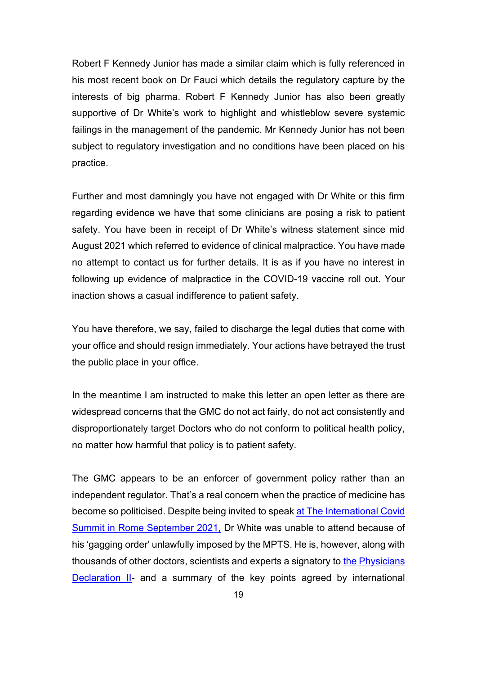Robert F Kennedy Junior has made a similar claim which is fully referenced in his most recent book on Dr Fauci which details the regulatory capture by the interests of big pharma. Robert F Kennedy Junior has also been greatly supportive of Dr White's work to highlight and whistleblow severe systemic failings in the management of the pandemic. Mr Kennedy Junior has not been subject to regulatory investigation and no conditions have been placed on his practice.

Further and most damningly you have not engaged with Dr White or this firm regarding evidence we have that some clinicians are posing a risk to patient safety. You have been in receipt of Dr White's witness statement since mid August 2021 which referred to evidence of clinical malpractice. You have made no attempt to contact us for further details. It is as if you have no interest in following up evidence of malpractice in the COVID-19 vaccine roll out. Your inaction shows a casual indifference to patient safety.

You have therefore, we say, failed to discharge the legal duties that come with your office and should resign immediately. Your actions have betrayed the trust the public place in your office.

In the meantime I am instructed to make this letter an open letter as there are widespread concerns that the GMC do not act fairly, do not act consistently and disproportionately target Doctors who do not conform to political health policy, no matter how harmful that policy is to patient safety.

The GMC appears to be an enforcer of government policy rather than an independent regulator. That's a real concern when the practice of medicine has become so politicised. Despite being invited to speak at The International Covid Summit in Rome September 2021, Dr White was unable to attend because of his 'gagging order' unlawfully imposed by the MPTS. He is, however, along with thousands of other doctors, scientists and experts a signatory to the Physicians Declaration II- and a summary of the key points agreed by international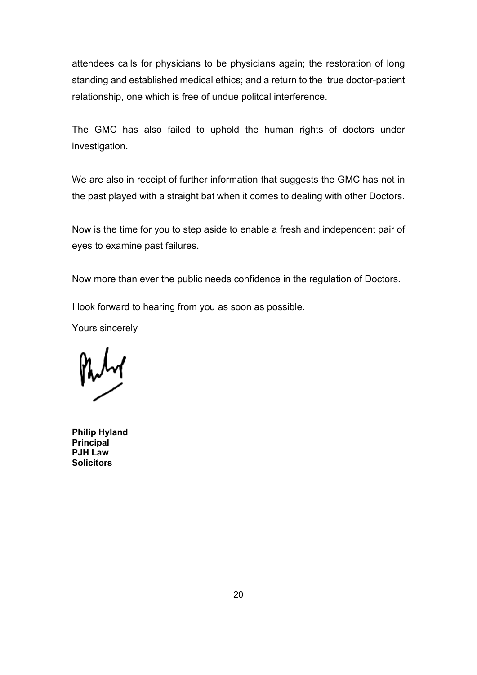attendees calls for physicians to be physicians again; the restoration of long standing and established medical ethics; and a return to the true doctor-patient relationship, one which is free of undue politcal interference.

The GMC has also failed to uphold the human rights of doctors under investigation.

We are also in receipt of further information that suggests the GMC has not in the past played with a straight bat when it comes to dealing with other Doctors.

Now is the time for you to step aside to enable a fresh and independent pair of eyes to examine past failures.

Now more than ever the public needs confidence in the regulation of Doctors.

I look forward to hearing from you as soon as possible.

Yours sincerely

**Philip Hyland Principal PJH Law Solicitors**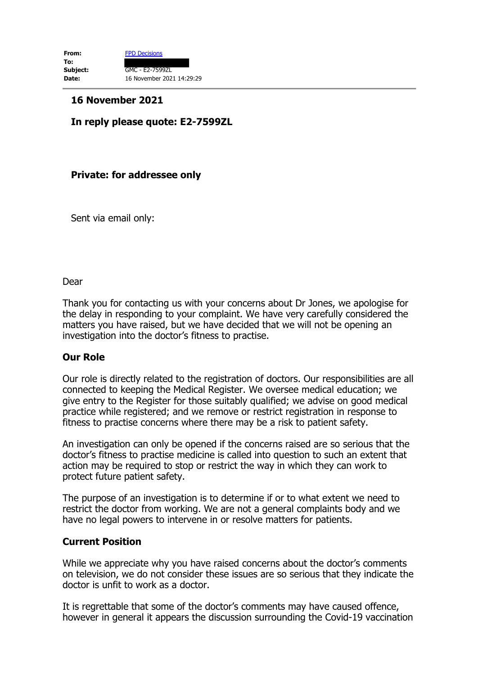## **16 November 2021**

# **In reply please quote: E2-7599ZL**

## **Private: for addressee only**

Sent via email only:

#### Dear

Thank you for contacting us with your concerns about Dr Jones, we apologise for the delay in responding to your complaint. We have very carefully considered the matters you have raised, but we have decided that we will not be opening an investigation into the doctor's fitness to practise.

## **Our Role**

Our role is directly related to the registration of doctors. Our responsibilities are all connected to keeping the Medical Register. We oversee medical education; we give entry to the Register for those suitably qualified; we advise on good medical practice while registered; and we remove or restrict registration in response to fitness to practise concerns where there may be a risk to patient safety.

An investigation can only be opened if the concerns raised are so serious that the doctor's fitness to practise medicine is called into question to such an extent that action may be required to stop or restrict the way in which they can work to protect future patient safety.

The purpose of an investigation is to determine if or to what extent we need to restrict the doctor from working. We are not a general complaints body and we have no legal powers to intervene in or resolve matters for patients.

#### **Current Position**

While we appreciate why you have raised concerns about the doctor's comments on television, we do not consider these issues are so serious that they indicate the doctor is unfit to work as a doctor.

It is regrettable that some of the doctor's comments may have caused offence, however in general it appears the discussion surrounding the Covid-19 vaccination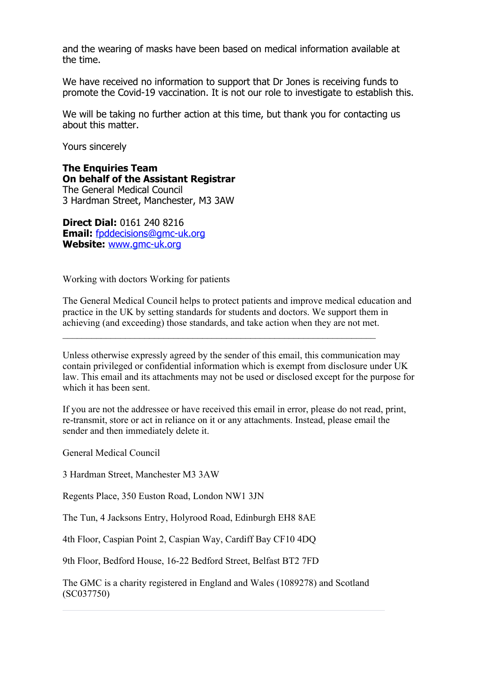and the wearing of masks have been based on medical information available at the time.

We have received no information to support that Dr Jones is receiving funds to promote the Covid-19 vaccination. It is not our role to investigate to establish this.

We will be taking no further action at this time, but thank you for contacting us about this matter.

Yours sincerely

**The Enquiries Team On behalf of the Assistant Registrar** The General Medical Council

3 Hardman Street, Manchester, M3 3AW

**Direct Dial:** 0161 240 8216 **Email:** fpddecisions@gmc-uk.org **Website:** www.gmc-uk.org

Working with doctors Working for patients

The General Medical Council helps to protect patients and improve medical education and practice in the UK by setting standards for students and doctors. We support them in achieving (and exceeding) those standards, and take action when they are not met.

Unless otherwise expressly agreed by the sender of this email, this communication may contain privileged or confidential information which is exempt from disclosure under UK law. This email and its attachments may not be used or disclosed except for the purpose for which it has been sent.

If you are not the addressee or have received this email in error, please do not read, print, re-transmit, store or act in reliance on it or any attachments. Instead, please email the sender and then immediately delete it.

General Medical Council

3 Hardman Street, Manchester M3 3AW

Regents Place, 350 Euston Road, London NW1 3JN

The Tun, 4 Jacksons Entry, Holyrood Road, Edinburgh EH8 8AE

4th Floor, Caspian Point 2, Caspian Way, Cardiff Bay CF10 4DQ

9th Floor, Bedford House, 16-22 Bedford Street, Belfast BT2 7FD

The GMC is a charity registered in England and Wales (1089278) and Scotland (SC037750)